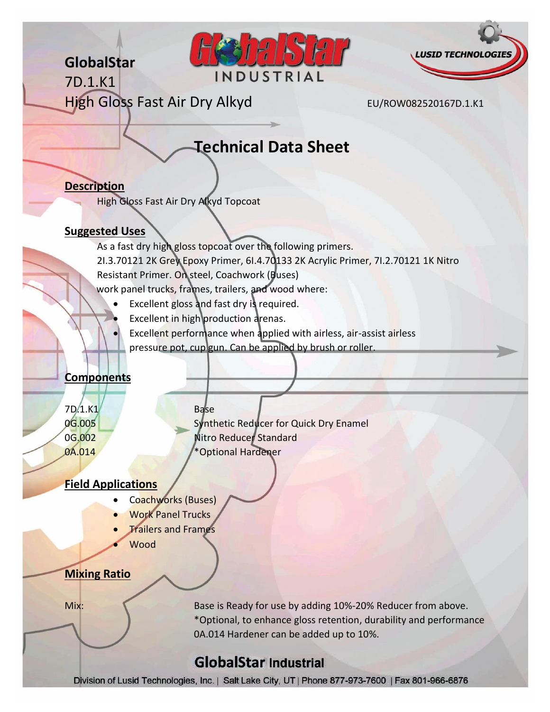**GlobalStar**

7D.1.K1





High Gloss Fast Air Dry Alkyd EU/ROW082520167D.1.K1

# **Technical Data Sheet**

#### **Description**

High Gloss Fast Air Dry Alkyd Topcoat

#### **Suggested Uses**

As a fast dry high gloss topcoat over the following primers. 2I.3.70121 2K Grey Epoxy Primer, 6I.4.70133 2K Acrylic Primer, 7I.2.70121 1K Nitro Resistant Primer. On steel, Coachwork (Buses) work panel trucks, frames, trailers, and wood where:

- Excellent gloss and fast dry is required.
- Excellent in high production arenas.

 Excellent performance when applied with airless, air-assist airless pressure pot, cup gun. Can be applied by brush or roller.

#### **Components**

7D.1.K1 Base

0G.005 Synthetic Reducer for Quick Dry Enamel 0G.002 Nitro Reducer Standard 0A.014 \*Optional Hardener

#### **Field Applications**

- Coachworks (Buses)
- Work Panel Trucks
- Trailers and Frames
- Wood

#### **Mixing Ratio**

Mix: **Example 20 State 10 State is Ready for use by adding 10%-20% Reducer from above.** \*Optional, to enhance gloss retention, durability and performance 0A.014 Hardener can be added up to 10%.

## **GlobalStar Industrial**

Division of Lusid Technologies, Inc. | Salt Lake City, UT | Phone 877-973-7600 | Fax 801-966-6876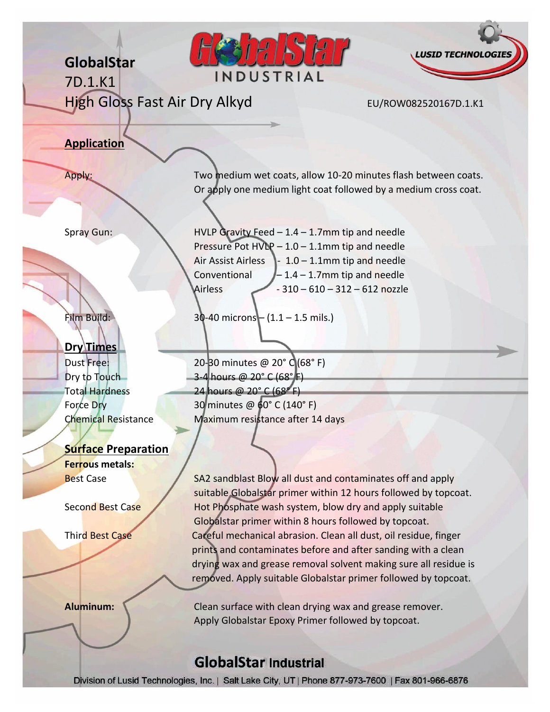

**Aluminum:** Clean surface with clean drying wax and grease remover. Apply Globalstar Epoxy Primer followed by topcoat.

### **GlobalStar Industrial**

Division of Lusid Technologies, Inc. | Salt Lake City, UT | Phone 877-973-7600 | Fax 801-966-6876